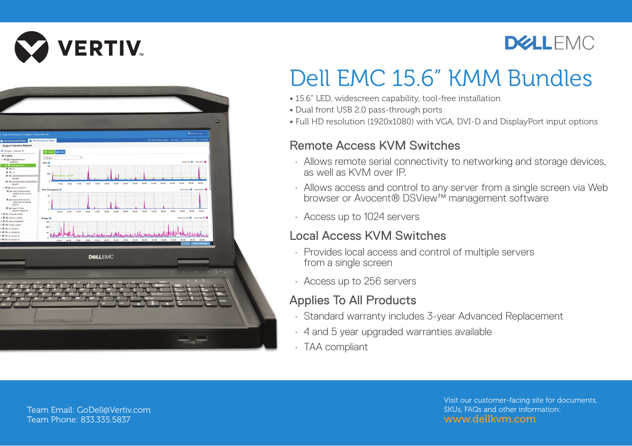



## **DELLEMC**

# Dell EMC 15.6" KMM Bundles

- 15.6" LED, widescreen capability, tool-free installation
- Dual front USB 2.0 pass-through ports
- Full HD resolution (1920x1080) with VGA, DVI-D and DisplayPort input options

#### Remote Access KVM Switches

- Allows remote serial connectivity to networking and storage devices, as well as KVM over IP.
- Allows access and control to any server from a single screen via Web browser or Avocent® DSView™ management software
- Access up to 1024 servers

#### Local Access KVM Switches

- Provides local access and control of multiple servers from a single screen
- Access up to 256 servers

### Applies To All Products

- Standard warranty includes 3-year Advanced Replacement
- 4 and 5 year upgraded warranties available
- TAA compliant

Visit our customer-facing site for documents, SKUs, FAQs and other information: www.dellkvm.com

Team Email: GoDell@Vertiv.com Team Phone: 833.335.5837